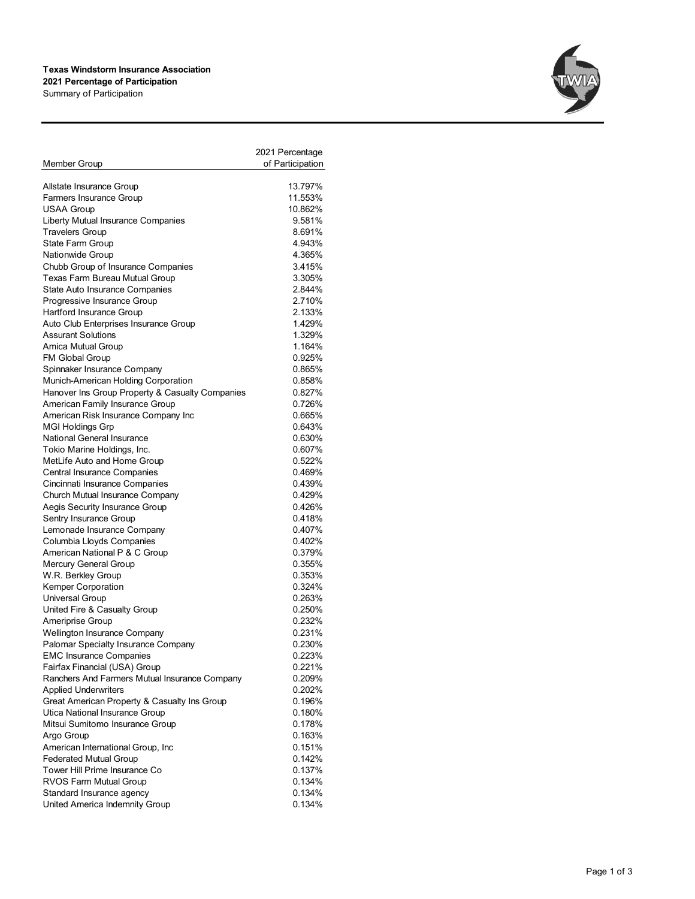## **Texas Windstorm Insurance Association 2021 Percentage of Participation** Summary of Participation



|                                                 | 2021 Percentage  |
|-------------------------------------------------|------------------|
| Member Group                                    | of Participation |
|                                                 |                  |
| Allstate Insurance Group                        | 13.797%          |
| Farmers Insurance Group                         | 11.553%          |
| <b>USAA Group</b>                               | 10.862%          |
| Liberty Mutual Insurance Companies              | 9.581%           |
| <b>Travelers Group</b>                          | 8.691%           |
| State Farm Group                                | 4.943%           |
| Nationwide Group                                | 4.365%           |
| Chubb Group of Insurance Companies              | 3.415%           |
| Texas Farm Bureau Mutual Group                  | 3.305%           |
| State Auto Insurance Companies                  | 2.844%           |
| Progressive Insurance Group                     | 2.710%           |
| Hartford Insurance Group                        | 2.133%           |
| Auto Club Enterprises Insurance Group           | 1.429%           |
| <b>Assurant Solutions</b>                       | 1.329%           |
| Amica Mutual Group                              | 1.164%           |
| FM Global Group                                 | 0.925%           |
| Spinnaker Insurance Company                     | 0.865%           |
| Munich-American Holding Corporation             | 0.858%           |
| Hanover Ins Group Property & Casualty Companies | 0.827%           |
| American Family Insurance Group                 | 0.726%           |
| American Risk Insurance Company Inc             | 0.665%           |
| <b>MGI Holdings Grp</b>                         | 0.643%           |
| National General Insurance                      | 0.630%           |
| Tokio Marine Holdings, Inc.                     | 0.607%           |
| MetLife Auto and Home Group                     | 0.522%           |
| Central Insurance Companies                     | 0.469%           |
| Cincinnati Insurance Companies                  | 0.439%           |
| Church Mutual Insurance Company                 | 0.429%           |
| Aegis Security Insurance Group                  | 0.426%           |
| Sentry Insurance Group                          | 0.418%           |
| Lemonade Insurance Company                      | 0.407%           |
| Columbia Lloyds Companies                       | 0.402%           |
| American National P & C Group                   | 0.379%           |
| Mercury General Group                           | 0.355%           |
| W.R. Berkley Group                              | 0.353%           |
| Kemper Corporation                              | 0.324%           |
| Universal Group                                 | 0.263%           |
| United Fire & Casualty Group                    | 0.250%           |
| Ameriprise Group                                | 0.232%           |
| Wellington Insurance Company                    | 0.231%           |
| Palomar Specialty Insurance Company             | 0.230%           |
| <b>EMC Insurance Companies</b>                  | 0.223%           |
| Fairfax Financial (USA) Group                   | 0.221%           |
| Ranchers And Farmers Mutual Insurance Company   | 0.209%           |
| <b>Applied Underwriters</b>                     | 0.202%           |
| Great American Property & Casualty Ins Group    | 0.196%           |
| Utica National Insurance Group                  | 0.180%           |
| Mitsui Sumitomo Insurance Group                 | 0.178%           |
| Argo Group                                      | 0.163%           |
| American International Group, Inc               | 0.151%           |
| <b>Federated Mutual Group</b>                   | 0.142%           |
| Tower Hill Prime Insurance Co                   | 0.137%           |
| RVOS Farm Mutual Group                          | 0.134%           |
| Standard Insurance agency                       | 0.134%           |
| United America Indemnity Group                  | 0.134%           |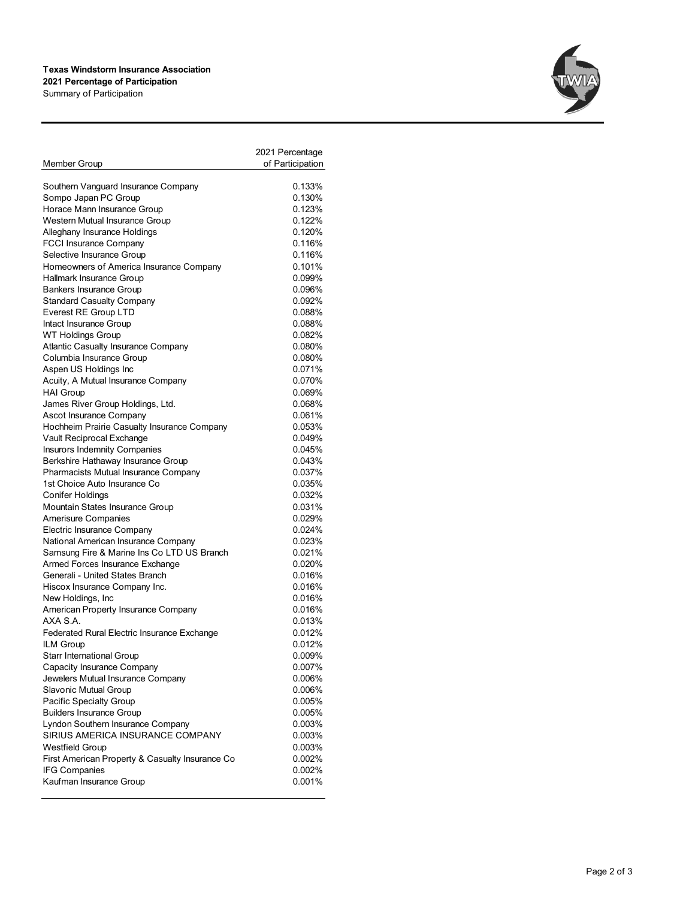## **Texas Windstorm Insurance Association 2021 Percentage of Participation** Summary of Participation



|                                                 | 2021 Percentage  |
|-------------------------------------------------|------------------|
| Member Group                                    | of Participation |
|                                                 |                  |
| Southern Vanguard Insurance Company             | 0.133%           |
| Sompo Japan PC Group                            | 0.130%           |
| Horace Mann Insurance Group                     | 0.123%           |
| Western Mutual Insurance Group                  | 0.122%           |
| Alleghany Insurance Holdings                    | 0.120%           |
| <b>FCCI Insurance Company</b>                   | 0.116%           |
| Selective Insurance Group                       | 0.116%           |
| Homeowners of America Insurance Company         | 0.101%           |
| Hallmark Insurance Group                        | 0.099%           |
| <b>Bankers Insurance Group</b>                  | 0.096%           |
| <b>Standard Casualty Company</b>                | 0.092%           |
| Everest RE Group LTD                            | 0.088%           |
| Intact Insurance Group                          | 0.088%           |
| WT Holdings Group                               | 0.082%           |
| Atlantic Casualty Insurance Company             | 0.080%           |
| Columbia Insurance Group                        | 0.080%           |
| Aspen US Holdings Inc                           | 0.071%           |
| Acuity, A Mutual Insurance Company              | 0.070%           |
| <b>HAI Group</b>                                | 0.069%           |
| James River Group Holdings, Ltd.                | 0.068%           |
| Ascot Insurance Company                         | 0.061%           |
| Hochheim Prairie Casualty Insurance Company     | 0.053%           |
| Vault Reciprocal Exchange                       | 0.049%           |
| Insurors Indemnity Companies                    | 0.045%           |
| Berkshire Hathaway Insurance Group              | 0.043%           |
| Pharmacists Mutual Insurance Company            | 0.037%           |
| 1st Choice Auto Insurance Co                    | 0.035%           |
| Conifer Holdings                                | 0.032%           |
| Mountain States Insurance Group                 | 0.031%           |
| <b>Amerisure Companies</b>                      | 0.029%           |
| Electric Insurance Company                      | 0.024%           |
| National American Insurance Company             | 0.023%           |
| Samsung Fire & Marine Ins Co LTD US Branch      | 0.021%           |
| Armed Forces Insurance Exchange                 | 0.020%           |
| Generali - United States Branch                 | 0.016%           |
| Hiscox Insurance Company Inc.                   | 0.016%           |
| New Holdings, Inc.                              | 0.016%           |
| American Property Insurance Company             | 0.016%           |
| AXA S.A.                                        | 0.013%           |
| Federated Rural Electric Insurance Exchange     | 0.012%           |
| ILM Group                                       | 0.012%           |
| Starr International Group                       | 0.009%           |
| Capacity Insurance Company                      | 0.007%           |
| Jewelers Mutual Insurance Company               | 0.006%           |
| Slavonic Mutual Group                           | 0.006%           |
| Pacific Specialty Group                         | 0.005%           |
| <b>Builders Insurance Group</b>                 | 0.005%           |
| Lyndon Southern Insurance Company               | 0.003%           |
| SIRIUS AMERICA INSURANCE COMPANY                | 0.003%           |
| <b>Westfield Group</b>                          | 0.003%           |
| First American Property & Casualty Insurance Co | 0.002%           |
| <b>IFG Companies</b>                            | 0.002%           |
| Kaufman Insurance Group                         | 0.001%           |
|                                                 |                  |